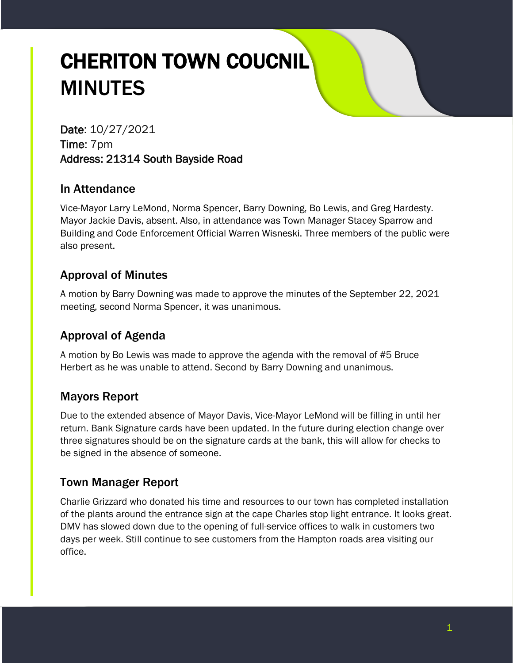# CHERITON TOWN COUCNIL MINUTES

Date: 10/27/2021 Time: 7pm Address: 21314 South Bayside Road

#### In Attendance

Vice-Mayor Larry LeMond, Norma Spencer, Barry Downing, Bo Lewis, and Greg Hardesty. Mayor Jackie Davis, absent. Also, in attendance was Town Manager Stacey Sparrow and Building and Code Enforcement Official Warren Wisneski. Three members of the public were also present.

# Approval of Minutes

A motion by Barry Downing was made to approve the minutes of the September 22, 2021 meeting, second Norma Spencer, it was unanimous.

# Approval of Agenda

A motion by Bo Lewis was made to approve the agenda with the removal of #5 Bruce Herbert as he was unable to attend. Second by Barry Downing and unanimous.

# Mayors Report

Due to the extended absence of Mayor Davis, Vice-Mayor LeMond will be filling in until her return. Bank Signature cards have been updated. In the future during election change over three signatures should be on the signature cards at the bank, this will allow for checks to be signed in the absence of someone.

# Town Manager Report

Charlie Grizzard who donated his time and resources to our town has completed installation of the plants around the entrance sign at the cape Charles stop light entrance. It looks great. DMV has slowed down due to the opening of full-service offices to walk in customers two days per week. Still continue to see customers from the Hampton roads area visiting our office.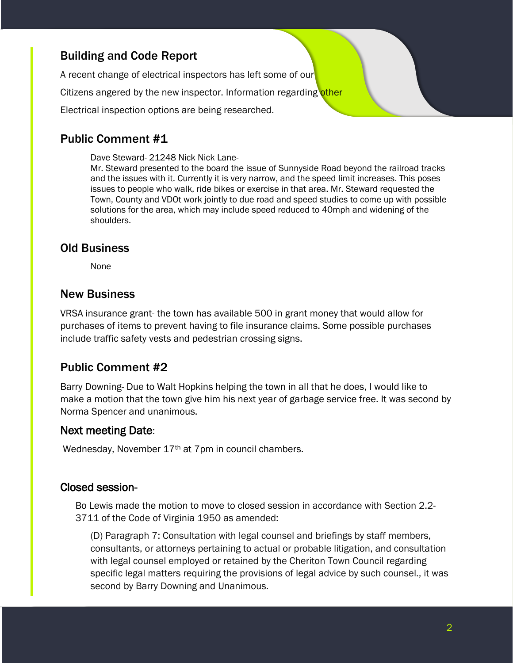#### Building and Code Report

A recent change of electrical inspectors has left some of our Citizens angered by the new inspector. Information regarding other Electrical inspection options are being researched.

# Public Comment #1

Dave Steward- 21248 Nick Nick Lane-

Mr. Steward presented to the board the issue of Sunnyside Road beyond the railroad tracks and the issues with it. Currently it is very narrow, and the speed limit increases. This poses issues to people who walk, ride bikes or exercise in that area. Mr. Steward requested the Town, County and VDOt work jointly to due road and speed studies to come up with possible solutions for the area, which may include speed reduced to 40mph and widening of the shoulders.

#### Old Business

None

#### New Business

VRSA insurance grant- the town has available 500 in grant money that would allow for purchases of items to prevent having to file insurance claims. Some possible purchases include traffic safety vests and pedestrian crossing signs.

# Public Comment #2

Barry Downing- Due to Walt Hopkins helping the town in all that he does, I would like to make a motion that the town give him his next year of garbage service free. It was second by Norma Spencer and unanimous.

#### Next meeting Date:

Wednesday, November 17<sup>th</sup> at 7pm in council chambers.

#### Closed session-

Bo Lewis made the motion to move to closed session in accordance with Section 2.2- 3711 of the Code of Virginia 1950 as amended:

(D) Paragraph 7: Consultation with legal counsel and briefings by staff members, consultants, or attorneys pertaining to actual or probable litigation, and consultation with legal counsel employed or retained by the Cheriton Town Council regarding specific legal matters requiring the provisions of legal advice by such counsel., it was second by Barry Downing and Unanimous.